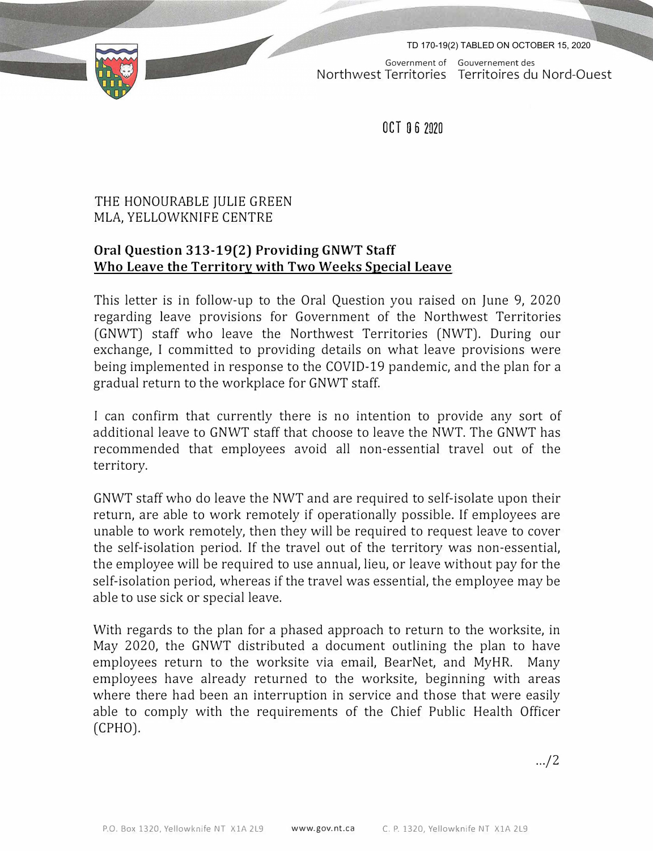TD 170-19(2) TABLED ON OCTOBER 15, 2020



Government of Gouvernement des Northwest Territories Territoires du Nord-Quest

OCT O 6 2020

## THE HONOURABLE JULIE GREEN MLA, YELLOWKNIFE CENTRE

## **Oral Question 313-19(2) Providing GNWT Staff Who Leave the Territory with Two Weeks Special Leave**

This letter is in follow-up to the Oral Question you raised on June 9, 2020 regarding leave provisions for Government of the Northwest Territories (GNWT) staff who leave the Northwest Territories (NWT). During our exchange, I committed to providing details on what leave provisions were being implemented in response to the COVID-19 pandemic, and the plan for a gradual return to the workplace for GNWT staff.

I can confirm that currently there is no intention to provide any sort of additional leave to GNWT staff that choose to leave the NWT. The GNWT has recommended that employees avoid all non-essential travel out of the territory.

GNWT staff who do leave the NWT and are required to self-isolate upon their return, are able to work remotely if operationally possible. If employees are unable to work remotely, then they will be required to request leave to cover the self-isolation period. If the travel out of the territory was non-essential, the employee will be required to use annual, lieu, or leave without pay for the self-isolation period, whereas if the travel was essential, the employee may be able to use sick or special leave.

With regards to the plan for a phased approach to return to the worksite, in May 2020, the GNWT distributed a document outlining the plan to have employees return to the worksite via email, BearNet, and MyHR. Many employees have already returned to the worksite, beginning with areas where there had been an interruption in service and those that were easily able to comply with the requirements of the Chief Public Health Officer (CPHO).

.../2